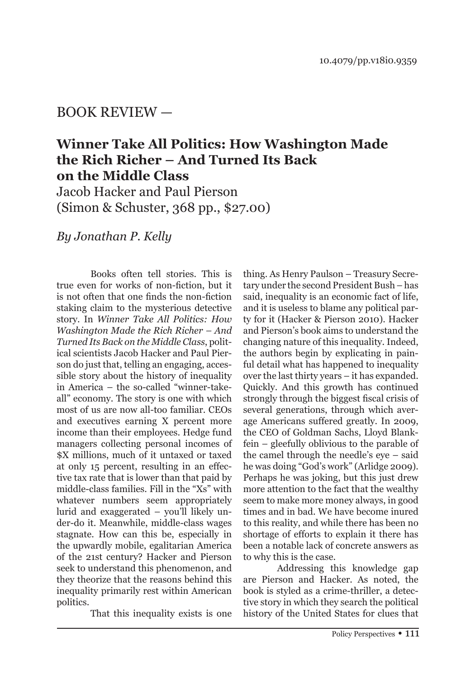## BOOK REVIEW —

## **Winner Take All Politics: How Washington Made the Rich Richer – And Turned Its Back on the Middle Class**

Jacob Hacker and Paul Pierson (Simon & Schuster, 368 pp., \$27.00)

*By Jonathan P. Kelly*

Books often tell stories. This is true even for works of non-fiction, but it is not often that one finds the non-fiction staking claim to the mysterious detective story. In *Winner Take All Politics: How Washington Made the Rich Richer – And Turned Its Back on the Middle Class*, political scientists Jacob Hacker and Paul Pierson do just that, telling an engaging, accessible story about the history of inequality in America – the so-called "winner-takeall" economy. The story is one with which most of us are now all-too familiar. CEOs and executives earning X percent more income than their employees. Hedge fund managers collecting personal incomes of \$X millions, much of it untaxed or taxed at only 15 percent, resulting in an effective tax rate that is lower than that paid by middle-class families. Fill in the "Xs" with whatever numbers seem appropriately lurid and exaggerated – you'll likely under-do it. Meanwhile, middle-class wages stagnate. How can this be, especially in the upwardly mobile, egalitarian America of the 21st century? Hacker and Pierson seek to understand this phenomenon, and they theorize that the reasons behind this inequality primarily rest within American politics.

That this inequality exists is one

thing. As Henry Paulson – Treasury Secretary under the second President Bush – has said, inequality is an economic fact of life, and it is useless to blame any political party for it (Hacker & Pierson 2010). Hacker and Pierson's book aims to understand the changing nature of this inequality. Indeed, the authors begin by explicating in painful detail what has happened to inequality over the last thirty years – it has expanded. Quickly. And this growth has continued strongly through the biggest fiscal crisis of several generations, through which average Americans suffered greatly. In 2009, the CEO of Goldman Sachs, Lloyd Blankfein – gleefully oblivious to the parable of the camel through the needle's eye – said he was doing "God's work" (Arlidge 2009). Perhaps he was joking, but this just drew more attention to the fact that the wealthy seem to make more money always, in good times and in bad. We have become inured to this reality, and while there has been no shortage of efforts to explain it there has been a notable lack of concrete answers as to why this is the case.

Addressing this knowledge gap are Pierson and Hacker. As noted, the book is styled as a crime-thriller, a detective story in which they search the political history of the United States for clues that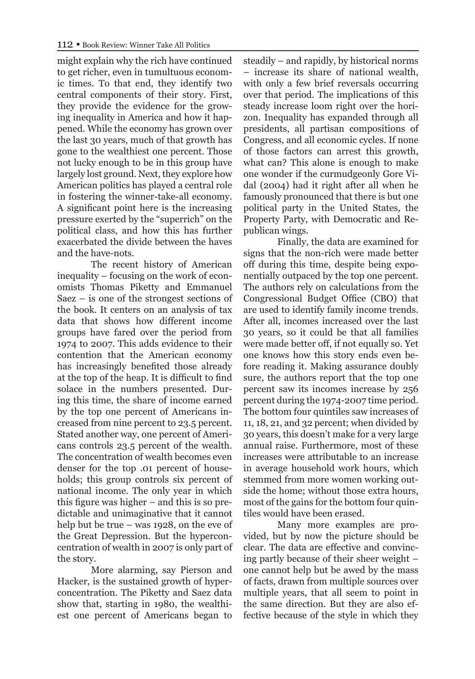might explain why the rich have continued to get richer, even in tumultuous economic times. To that end, they identify two central components of their story. First, they provide the evidence for the growing inequality in America and how it happened. While the economy has grown over the last 30 years, much of that growth has gone to the wealthiest one percent. Those not lucky enough to be in this group have largely lost ground. Next, they explore how American politics has played a central role in fostering the winner-take-all economy. A significant point here is the increasing pressure exerted by the "superrich" on the political class, and how this has further exacerbated the divide between the haves and the have-nots.

The recent history of American inequality – focusing on the work of economists Thomas Piketty and Emmanuel Saez – is one of the strongest sections of the book. It centers on an analysis of tax data that shows how different income groups have fared over the period from 1974 to 2007. This adds evidence to their contention that the American economy has increasingly benefited those already at the top of the heap. It is difficult to find solace in the numbers presented. During this time, the share of income earned by the top one percent of Americans increased from nine percent to 23.5 percent. Stated another way, one percent of Americans controls 23.5 percent of the wealth. The concentration of wealth becomes even denser for the top .01 percent of households; this group controls six percent of national income. The only year in which this figure was higher – and this is so predictable and unimaginative that it cannot help but be true – was 1928, on the eve of the Great Depression. But the hyperconcentration of wealth in 2007 is only part of the story.

More alarming, say Pierson and Hacker, is the sustained growth of hyperconcentration. The Piketty and Saez data show that, starting in 1980, the wealthiest one percent of Americans began to steadily – and rapidly, by historical norms – increase its share of national wealth, with only a few brief reversals occurring over that period. The implications of this steady increase loom right over the horizon. Inequality has expanded through all presidents, all partisan compositions of Congress, and all economic cycles. If none of those factors can arrest this growth, what can? This alone is enough to make one wonder if the curmudgeonly Gore Vidal (2004) had it right after all when he famously pronounced that there is but one political party in the United States, the Property Party, with Democratic and Republican wings.

Finally, the data are examined for signs that the non-rich were made better off during this time, despite being exponentially outpaced by the top one percent. The authors rely on calculations from the Congressional Budget Office (CBO) that are used to identify family income trends. After all, incomes increased over the last 30 years, so it could be that all families were made better off, if not equally so. Yet one knows how this story ends even before reading it. Making assurance doubly sure, the authors report that the top one percent saw its incomes increase by 256 percent during the 1974-2007 time period. The bottom four quintiles saw increases of 11, 18, 21, and 32 percent; when divided by 30 years, this doesn't make for a very large annual raise. Furthermore, most of these increases were attributable to an increase in average household work hours, which stemmed from more women working outside the home; without those extra hours, most of the gains for the bottom four quintiles would have been erased.

Many more examples are provided, but by now the picture should be clear. The data are effective and convincing partly because of their sheer weight – one cannot help but be awed by the mass of facts, drawn from multiple sources over multiple years, that all seem to point in the same direction. But they are also effective because of the style in which they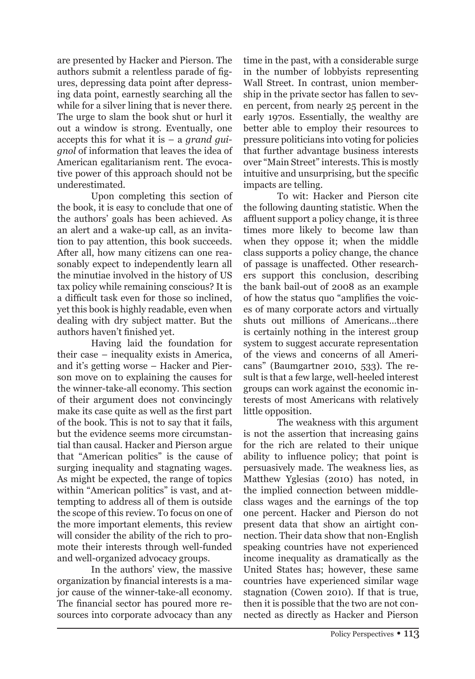are presented by Hacker and Pierson. The authors submit a relentless parade of figures, depressing data point after depressing data point, earnestly searching all the while for a silver lining that is never there. The urge to slam the book shut or hurl it out a window is strong. Eventually, one accepts this for what it is – a *grand guignol* of information that leaves the idea of American egalitarianism rent. The evocative power of this approach should not be underestimated.

Upon completing this section of the book, it is easy to conclude that one of the authors' goals has been achieved. As an alert and a wake-up call, as an invitation to pay attention, this book succeeds. After all, how many citizens can one reasonably expect to independently learn all the minutiae involved in the history of US tax policy while remaining conscious? It is a difficult task even for those so inclined, yet this book is highly readable, even when dealing with dry subject matter. But the authors haven't finished yet.

Having laid the foundation for their case – inequality exists in America, and it's getting worse – Hacker and Pierson move on to explaining the causes for the winner-take-all economy. This section of their argument does not convincingly make its case quite as well as the first part of the book. This is not to say that it fails, but the evidence seems more circumstantial than causal. Hacker and Pierson argue that "American politics" is the cause of surging inequality and stagnating wages. As might be expected, the range of topics within "American politics" is vast, and attempting to address all of them is outside the scope of this review. To focus on one of the more important elements, this review will consider the ability of the rich to promote their interests through well-funded and well-organized advocacy groups.

In the authors' view, the massive organization by financial interests is a major cause of the winner-take-all economy. The financial sector has poured more resources into corporate advocacy than any time in the past, with a considerable surge in the number of lobbyists representing Wall Street. In contrast, union membership in the private sector has fallen to seven percent, from nearly 25 percent in the early 1970s. Essentially, the wealthy are better able to employ their resources to pressure politicians into voting for policies that further advantage business interests over "Main Street" interests. This is mostly intuitive and unsurprising, but the specific impacts are telling.

To wit: Hacker and Pierson cite the following daunting statistic. When the affluent support a policy change, it is three times more likely to become law than when they oppose it; when the middle class supports a policy change, the chance of passage is unaffected. Other researchers support this conclusion, describing the bank bail-out of 2008 as an example of how the status quo "amplifies the voices of many corporate actors and virtually shuts out millions of Americans…there is certainly nothing in the interest group system to suggest accurate representation of the views and concerns of all Americans" (Baumgartner 2010, 533). The result is that a few large, well-heeled interest groups can work against the economic interests of most Americans with relatively little opposition.

The weakness with this argument is not the assertion that increasing gains for the rich are related to their unique ability to influence policy; that point is persuasively made. The weakness lies, as Matthew Yglesias (2010) has noted, in the implied connection between middleclass wages and the earnings of the top one percent. Hacker and Pierson do not present data that show an airtight connection. Their data show that non-English speaking countries have not experienced income inequality as dramatically as the United States has; however, these same countries have experienced similar wage stagnation (Cowen 2010). If that is true, then it is possible that the two are not connected as directly as Hacker and Pierson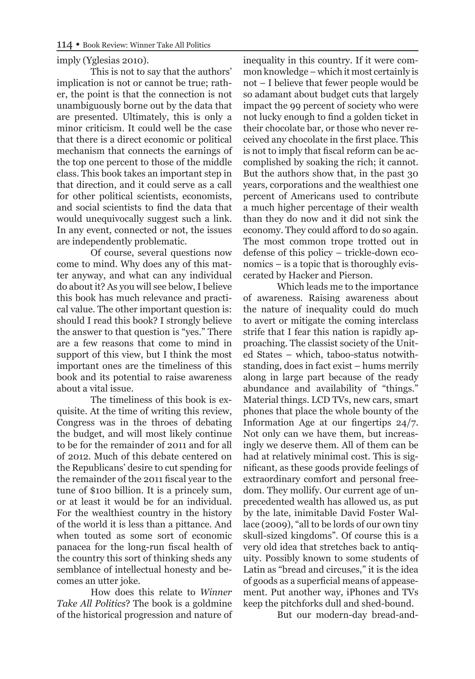## imply (Yglesias 2010).

This is not to say that the authors' implication is not or cannot be true; rather, the point is that the connection is not unambiguously borne out by the data that are presented. Ultimately, this is only a minor criticism. It could well be the case that there is a direct economic or political mechanism that connects the earnings of the top one percent to those of the middle class. This book takes an important step in that direction, and it could serve as a call for other political scientists, economists, and social scientists to find the data that would unequivocally suggest such a link. In any event, connected or not, the issues are independently problematic.

Of course, several questions now come to mind. Why does any of this matter anyway, and what can any individual do about it? As you will see below, I believe this book has much relevance and practical value. The other important question is: should I read this book? I strongly believe the answer to that question is "yes." There are a few reasons that come to mind in support of this view, but I think the most important ones are the timeliness of this book and its potential to raise awareness about a vital issue.

The timeliness of this book is exquisite. At the time of writing this review, Congress was in the throes of debating the budget, and will most likely continue to be for the remainder of 2011 and for all of 2012. Much of this debate centered on the Republicans' desire to cut spending for the remainder of the 2011 fiscal year to the tune of \$100 billion. It is a princely sum, or at least it would be for an individual. For the wealthiest country in the history of the world it is less than a pittance. And when touted as some sort of economic panacea for the long-run fiscal health of the country this sort of thinking sheds any semblance of intellectual honesty and becomes an utter joke.

How does this relate to *Winner Take All Politics*? The book is a goldmine of the historical progression and nature of inequality in this country. If it were common knowledge – which it most certainly is not – I believe that fewer people would be so adamant about budget cuts that largely impact the 99 percent of society who were not lucky enough to find a golden ticket in their chocolate bar, or those who never received any chocolate in the first place. This is not to imply that fiscal reform can be accomplished by soaking the rich; it cannot. But the authors show that, in the past 30 years, corporations and the wealthiest one percent of Americans used to contribute a much higher percentage of their wealth than they do now and it did not sink the economy. They could afford to do so again. The most common trope trotted out in defense of this policy – trickle-down economics – is a topic that is thoroughly eviscerated by Hacker and Pierson.

Which leads me to the importance of awareness. Raising awareness about the nature of inequality could do much to avert or mitigate the coming interclass strife that I fear this nation is rapidly approaching. The classist society of the United States – which, taboo-status notwithstanding, does in fact exist – hums merrily along in large part because of the ready abundance and availability of "things." Material things. LCD TVs, new cars, smart phones that place the whole bounty of the Information Age at our fingertips 24/7. Not only can we have them, but increasingly we deserve them. All of them can be had at relatively minimal cost. This is significant, as these goods provide feelings of extraordinary comfort and personal freedom. They mollify. Our current age of unprecedented wealth has allowed us, as put by the late, inimitable David Foster Wallace (2009), "all to be lords of our own tiny skull-sized kingdoms". Of course this is a very old idea that stretches back to antiquity. Possibly known to some students of Latin as "bread and circuses," it is the idea of goods as a superficial means of appeasement. Put another way, iPhones and TVs keep the pitchforks dull and shed-bound.

But our modern-day bread-and-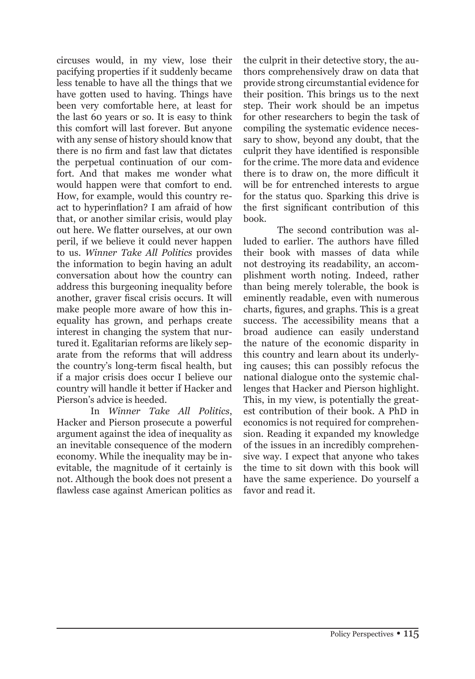circuses would, in my view, lose their pacifying properties if it suddenly became less tenable to have all the things that we have gotten used to having. Things have been very comfortable here, at least for the last 60 years or so. It is easy to think this comfort will last forever. But anyone with any sense of history should know that there is no firm and fast law that dictates the perpetual continuation of our comfort. And that makes me wonder what would happen were that comfort to end. How, for example, would this country react to hyperinflation? I am afraid of how that, or another similar crisis, would play out here. We flatter ourselves, at our own peril, if we believe it could never happen to us. *Winner Take All Politics* provides the information to begin having an adult conversation about how the country can address this burgeoning inequality before another, graver fiscal crisis occurs. It will make people more aware of how this inequality has grown, and perhaps create interest in changing the system that nurtured it. Egalitarian reforms are likely separate from the reforms that will address the country's long-term fiscal health, but if a major crisis does occur I believe our country will handle it better if Hacker and Pierson's advice is heeded.

In *Winner Take All Politics*, Hacker and Pierson prosecute a powerful argument against the idea of inequality as an inevitable consequence of the modern economy. While the inequality may be inevitable, the magnitude of it certainly is not. Although the book does not present a flawless case against American politics as the culprit in their detective story, the authors comprehensively draw on data that provide strong circumstantial evidence for their position. This brings us to the next step. Their work should be an impetus for other researchers to begin the task of compiling the systematic evidence necessary to show, beyond any doubt, that the culprit they have identified is responsible for the crime. The more data and evidence there is to draw on, the more difficult it will be for entrenched interests to argue for the status quo. Sparking this drive is the first significant contribution of this book.

The second contribution was alluded to earlier. The authors have filled their book with masses of data while not destroying its readability, an accomplishment worth noting. Indeed, rather than being merely tolerable, the book is eminently readable, even with numerous charts, figures, and graphs. This is a great success. The accessibility means that a broad audience can easily understand the nature of the economic disparity in this country and learn about its underlying causes; this can possibly refocus the national dialogue onto the systemic challenges that Hacker and Pierson highlight. This, in my view, is potentially the greatest contribution of their book. A PhD in economics is not required for comprehension. Reading it expanded my knowledge of the issues in an incredibly comprehensive way. I expect that anyone who takes the time to sit down with this book will have the same experience. Do yourself a favor and read it.